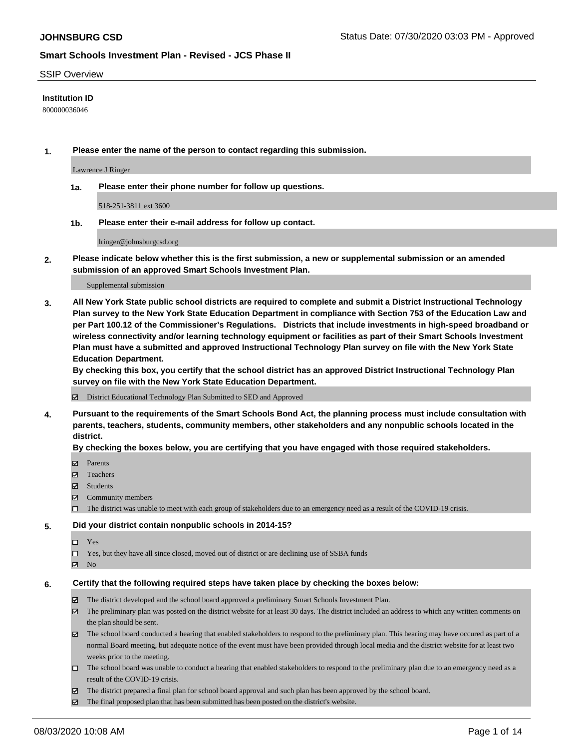#### SSIP Overview

### **Institution ID**

800000036046

**1. Please enter the name of the person to contact regarding this submission.**

Lawrence J Ringer

**1a. Please enter their phone number for follow up questions.**

518-251-3811 ext 3600

**1b. Please enter their e-mail address for follow up contact.**

lringer@johnsburgcsd.org

**2. Please indicate below whether this is the first submission, a new or supplemental submission or an amended submission of an approved Smart Schools Investment Plan.**

#### Supplemental submission

**3. All New York State public school districts are required to complete and submit a District Instructional Technology Plan survey to the New York State Education Department in compliance with Section 753 of the Education Law and per Part 100.12 of the Commissioner's Regulations. Districts that include investments in high-speed broadband or wireless connectivity and/or learning technology equipment or facilities as part of their Smart Schools Investment Plan must have a submitted and approved Instructional Technology Plan survey on file with the New York State Education Department.** 

**By checking this box, you certify that the school district has an approved District Instructional Technology Plan survey on file with the New York State Education Department.**

District Educational Technology Plan Submitted to SED and Approved

**4. Pursuant to the requirements of the Smart Schools Bond Act, the planning process must include consultation with parents, teachers, students, community members, other stakeholders and any nonpublic schools located in the district.** 

#### **By checking the boxes below, you are certifying that you have engaged with those required stakeholders.**

- **□** Parents
- Teachers
- Students
- $\boxtimes$  Community members
- The district was unable to meet with each group of stakeholders due to an emergency need as a result of the COVID-19 crisis.

#### **5. Did your district contain nonpublic schools in 2014-15?**

- $\neg$  Yes
- Yes, but they have all since closed, moved out of district or are declining use of SSBA funds
- **Z** No

#### **6. Certify that the following required steps have taken place by checking the boxes below:**

- The district developed and the school board approved a preliminary Smart Schools Investment Plan.
- $\boxtimes$  The preliminary plan was posted on the district website for at least 30 days. The district included an address to which any written comments on the plan should be sent.
- $\boxtimes$  The school board conducted a hearing that enabled stakeholders to respond to the preliminary plan. This hearing may have occured as part of a normal Board meeting, but adequate notice of the event must have been provided through local media and the district website for at least two weeks prior to the meeting.
- The school board was unable to conduct a hearing that enabled stakeholders to respond to the preliminary plan due to an emergency need as a result of the COVID-19 crisis.
- The district prepared a final plan for school board approval and such plan has been approved by the school board.
- $\boxtimes$  The final proposed plan that has been submitted has been posted on the district's website.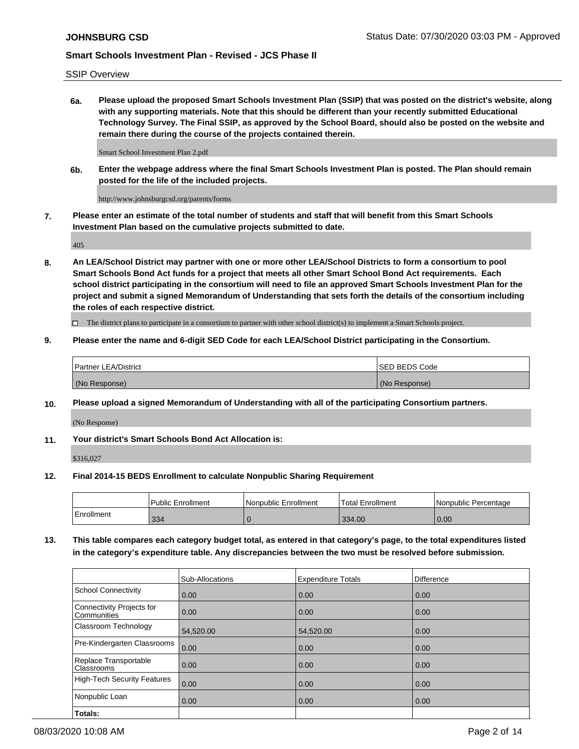SSIP Overview

**6a. Please upload the proposed Smart Schools Investment Plan (SSIP) that was posted on the district's website, along with any supporting materials. Note that this should be different than your recently submitted Educational Technology Survey. The Final SSIP, as approved by the School Board, should also be posted on the website and remain there during the course of the projects contained therein.**

Smart School Investment Plan 2.pdf

**6b. Enter the webpage address where the final Smart Schools Investment Plan is posted. The Plan should remain posted for the life of the included projects.**

http://www.johnsburgcsd.org/parents/forms

**7. Please enter an estimate of the total number of students and staff that will benefit from this Smart Schools Investment Plan based on the cumulative projects submitted to date.**

405

**8. An LEA/School District may partner with one or more other LEA/School Districts to form a consortium to pool Smart Schools Bond Act funds for a project that meets all other Smart School Bond Act requirements. Each school district participating in the consortium will need to file an approved Smart Schools Investment Plan for the project and submit a signed Memorandum of Understanding that sets forth the details of the consortium including the roles of each respective district.**

 $\Box$  The district plans to participate in a consortium to partner with other school district(s) to implement a Smart Schools project.

## **9. Please enter the name and 6-digit SED Code for each LEA/School District participating in the Consortium.**

| <b>Partner LEA/District</b> | ISED BEDS Code |
|-----------------------------|----------------|
| (No Response)               | (No Response)  |

# **10. Please upload a signed Memorandum of Understanding with all of the participating Consortium partners.**

(No Response)

**11. Your district's Smart Schools Bond Act Allocation is:**

\$316,027

## **12. Final 2014-15 BEDS Enrollment to calculate Nonpublic Sharing Requirement**

|            | <b>Public Enrollment</b> | Nonpublic Enrollment | Total Enrollment | l Nonpublic Percentage |
|------------|--------------------------|----------------------|------------------|------------------------|
| Enrollment | 334                      |                      | 334.00           | 0.00                   |

**13. This table compares each category budget total, as entered in that category's page, to the total expenditures listed in the category's expenditure table. Any discrepancies between the two must be resolved before submission.**

|                                          | Sub-Allocations | <b>Expenditure Totals</b> | <b>Difference</b> |
|------------------------------------------|-----------------|---------------------------|-------------------|
| <b>School Connectivity</b>               | 0.00            | 0.00                      | 0.00              |
| Connectivity Projects for<br>Communities | 0.00            | 0.00                      | 0.00              |
| Classroom Technology                     | 54,520.00       | 54.520.00                 | 0.00              |
| Pre-Kindergarten Classrooms              | 0.00            | 0.00                      | 0.00              |
| Replace Transportable<br>Classrooms      | 0.00            | 0.00                      | 0.00              |
| <b>High-Tech Security Features</b>       | 0.00            | 0.00                      | 0.00              |
| Nonpublic Loan                           | 0.00            | 0.00                      | 0.00              |
| Totals:                                  |                 |                           |                   |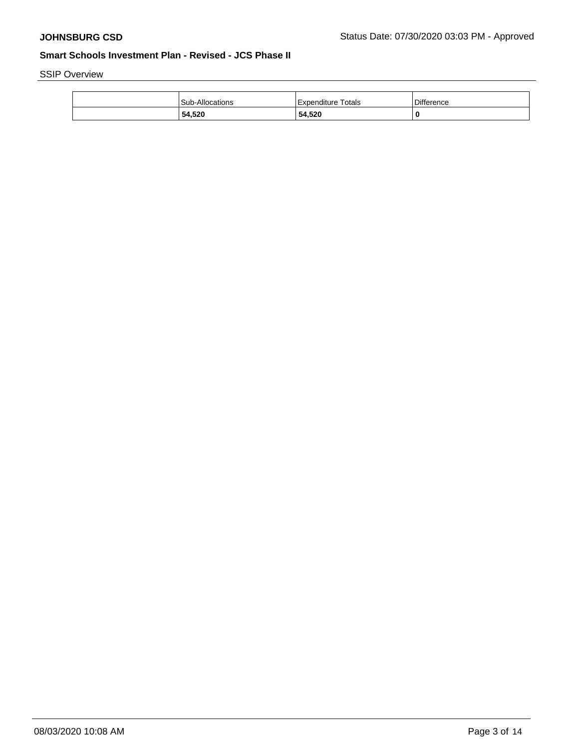SSIP Overview

|  | 54,520          | 54,520               |                   |
|--|-----------------|----------------------|-------------------|
|  | Sub-Allocations | l Expenditure Totals | <b>Difference</b> |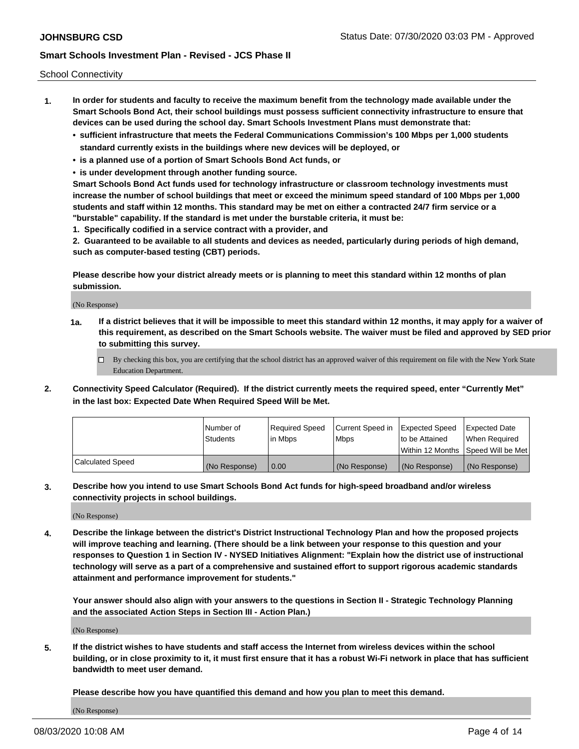School Connectivity

- **1. In order for students and faculty to receive the maximum benefit from the technology made available under the Smart Schools Bond Act, their school buildings must possess sufficient connectivity infrastructure to ensure that devices can be used during the school day. Smart Schools Investment Plans must demonstrate that:**
	- **• sufficient infrastructure that meets the Federal Communications Commission's 100 Mbps per 1,000 students standard currently exists in the buildings where new devices will be deployed, or**
	- **• is a planned use of a portion of Smart Schools Bond Act funds, or**
	- **• is under development through another funding source.**

**Smart Schools Bond Act funds used for technology infrastructure or classroom technology investments must increase the number of school buildings that meet or exceed the minimum speed standard of 100 Mbps per 1,000 students and staff within 12 months. This standard may be met on either a contracted 24/7 firm service or a "burstable" capability. If the standard is met under the burstable criteria, it must be:**

**1. Specifically codified in a service contract with a provider, and**

**2. Guaranteed to be available to all students and devices as needed, particularly during periods of high demand, such as computer-based testing (CBT) periods.**

**Please describe how your district already meets or is planning to meet this standard within 12 months of plan submission.**

(No Response)

**1a. If a district believes that it will be impossible to meet this standard within 12 months, it may apply for a waiver of this requirement, as described on the Smart Schools website. The waiver must be filed and approved by SED prior to submitting this survey.**

 $\Box$  By checking this box, you are certifying that the school district has an approved waiver of this requirement on file with the New York State Education Department.

**2. Connectivity Speed Calculator (Required). If the district currently meets the required speed, enter "Currently Met" in the last box: Expected Date When Required Speed Will be Met.**

|                  | l Number of     | Required Speed | Current Speed in | Expected Speed  | Expected Date                           |
|------------------|-----------------|----------------|------------------|-----------------|-----------------------------------------|
|                  | <b>Students</b> | In Mbps        | l Mbps           | to be Attained  | When Required                           |
|                  |                 |                |                  |                 | l Within 12 Months ISpeed Will be Met l |
| Calculated Speed | (No Response)   | 0.00           | (No Response)    | l (No Response) | l (No Response)                         |

**3. Describe how you intend to use Smart Schools Bond Act funds for high-speed broadband and/or wireless connectivity projects in school buildings.**

(No Response)

**4. Describe the linkage between the district's District Instructional Technology Plan and how the proposed projects will improve teaching and learning. (There should be a link between your response to this question and your responses to Question 1 in Section IV - NYSED Initiatives Alignment: "Explain how the district use of instructional technology will serve as a part of a comprehensive and sustained effort to support rigorous academic standards attainment and performance improvement for students."** 

**Your answer should also align with your answers to the questions in Section II - Strategic Technology Planning and the associated Action Steps in Section III - Action Plan.)**

(No Response)

**5. If the district wishes to have students and staff access the Internet from wireless devices within the school building, or in close proximity to it, it must first ensure that it has a robust Wi-Fi network in place that has sufficient bandwidth to meet user demand.**

**Please describe how you have quantified this demand and how you plan to meet this demand.**

(No Response)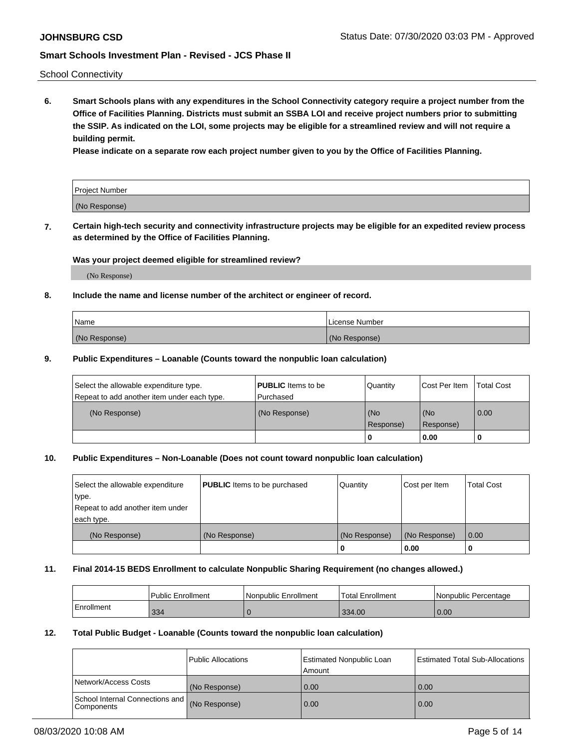School Connectivity

**6. Smart Schools plans with any expenditures in the School Connectivity category require a project number from the Office of Facilities Planning. Districts must submit an SSBA LOI and receive project numbers prior to submitting the SSIP. As indicated on the LOI, some projects may be eligible for a streamlined review and will not require a building permit.**

**Please indicate on a separate row each project number given to you by the Office of Facilities Planning.**

| Project Number |  |
|----------------|--|
| (No Response)  |  |

**7. Certain high-tech security and connectivity infrastructure projects may be eligible for an expedited review process as determined by the Office of Facilities Planning.**

## **Was your project deemed eligible for streamlined review?**

(No Response)

## **8. Include the name and license number of the architect or engineer of record.**

| Name          | License Number |
|---------------|----------------|
| (No Response) | (No Response)  |

### **9. Public Expenditures – Loanable (Counts toward the nonpublic loan calculation)**

| Select the allowable expenditure type.<br>Repeat to add another item under each type. | <b>PUBLIC</b> Items to be<br>l Purchased | Quantity           | Cost Per Item    | <b>Total Cost</b> |
|---------------------------------------------------------------------------------------|------------------------------------------|--------------------|------------------|-------------------|
| (No Response)                                                                         | (No Response)                            | l (No<br>Response) | (No<br>Response) | $\overline{0.00}$ |
|                                                                                       |                                          | O                  | 0.00             |                   |

## **10. Public Expenditures – Non-Loanable (Does not count toward nonpublic loan calculation)**

| Select the allowable expenditure<br>type.<br>Repeat to add another item under<br>each type. | <b>PUBLIC</b> Items to be purchased | Quantity      | Cost per Item | <b>Total Cost</b> |
|---------------------------------------------------------------------------------------------|-------------------------------------|---------------|---------------|-------------------|
| (No Response)                                                                               | (No Response)                       | (No Response) | (No Response) | 0.00              |
|                                                                                             |                                     |               | 0.00          |                   |

#### **11. Final 2014-15 BEDS Enrollment to calculate Nonpublic Sharing Requirement (no changes allowed.)**

|            | Public Enrollment | l Nonpublic Enrollment | <b>Total Enrollment</b> | Nonpublic Percentage |
|------------|-------------------|------------------------|-------------------------|----------------------|
| Enrollment | 334               |                        | 334.00                  | 0.00                 |

### **12. Total Public Budget - Loanable (Counts toward the nonpublic loan calculation)**

|                                                      | Public Allocations | <b>Estimated Nonpublic Loan</b><br>Amount | Estimated Total Sub-Allocations |
|------------------------------------------------------|--------------------|-------------------------------------------|---------------------------------|
| Network/Access Costs                                 | (No Response)      | 0.00                                      | 0.00                            |
| School Internal Connections and<br><b>Components</b> | (No Response)      | 0.00                                      | 0.00                            |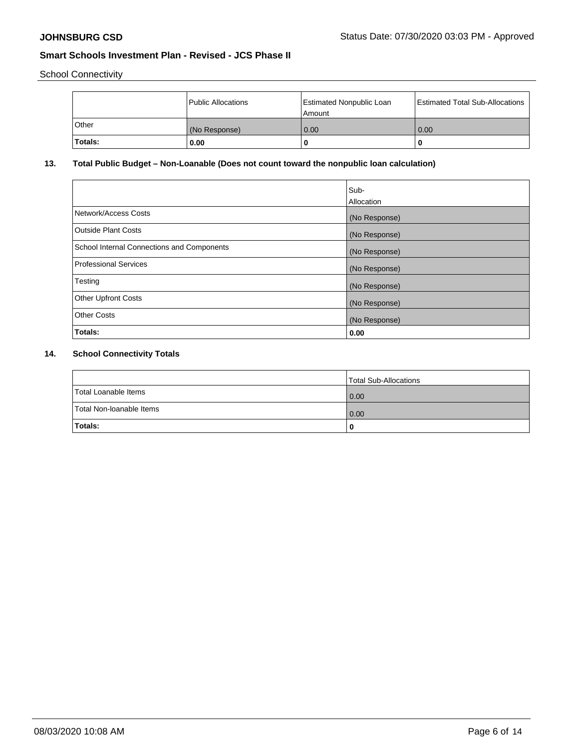School Connectivity

|         | Public Allocations | Estimated Nonpublic Loan<br>l Amount | <b>Estimated Total Sub-Allocations</b> |
|---------|--------------------|--------------------------------------|----------------------------------------|
| l Other | (No Response)      | 0.00                                 | 0.00                                   |
| Totals: | 0.00               | 0                                    | 0                                      |

# **13. Total Public Budget – Non-Loanable (Does not count toward the nonpublic loan calculation)**

|                                                   | Sub-<br>Allocation |
|---------------------------------------------------|--------------------|
| Network/Access Costs                              | (No Response)      |
| <b>Outside Plant Costs</b>                        | (No Response)      |
| <b>School Internal Connections and Components</b> | (No Response)      |
| <b>Professional Services</b>                      | (No Response)      |
| Testing                                           | (No Response)      |
| <b>Other Upfront Costs</b>                        | (No Response)      |
| <b>Other Costs</b>                                | (No Response)      |
| Totals:                                           | 0.00               |

# **14. School Connectivity Totals**

|                          | Total Sub-Allocations |
|--------------------------|-----------------------|
| Total Loanable Items     | 0.00                  |
| Total Non-Ioanable Items | 0.00                  |
| Totals:                  |                       |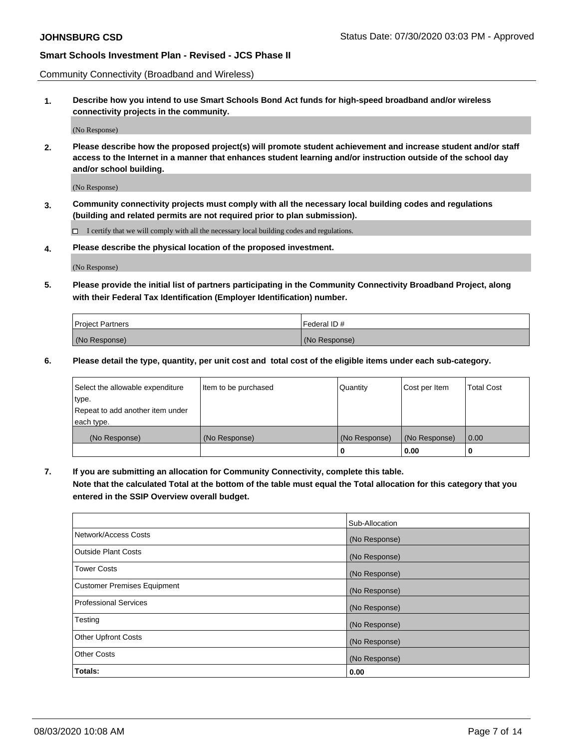Community Connectivity (Broadband and Wireless)

**1. Describe how you intend to use Smart Schools Bond Act funds for high-speed broadband and/or wireless connectivity projects in the community.**

(No Response)

**2. Please describe how the proposed project(s) will promote student achievement and increase student and/or staff access to the Internet in a manner that enhances student learning and/or instruction outside of the school day and/or school building.**

(No Response)

**3. Community connectivity projects must comply with all the necessary local building codes and regulations (building and related permits are not required prior to plan submission).**

 $\Box$  I certify that we will comply with all the necessary local building codes and regulations.

**4. Please describe the physical location of the proposed investment.**

(No Response)

**5. Please provide the initial list of partners participating in the Community Connectivity Broadband Project, along with their Federal Tax Identification (Employer Identification) number.**

| <b>Project Partners</b> | l Federal ID # |
|-------------------------|----------------|
| (No Response)           | (No Response)  |

**6. Please detail the type, quantity, per unit cost and total cost of the eligible items under each sub-category.**

| Select the allowable expenditure | Item to be purchased | Quantity      | Cost per Item | <b>Total Cost</b> |
|----------------------------------|----------------------|---------------|---------------|-------------------|
| type.                            |                      |               |               |                   |
| Repeat to add another item under |                      |               |               |                   |
| each type.                       |                      |               |               |                   |
| (No Response)                    | (No Response)        | (No Response) | (No Response) | 0.00              |
|                                  |                      | o             | 0.00          |                   |

**7. If you are submitting an allocation for Community Connectivity, complete this table.**

**Note that the calculated Total at the bottom of the table must equal the Total allocation for this category that you entered in the SSIP Overview overall budget.**

|                                    | Sub-Allocation |
|------------------------------------|----------------|
| Network/Access Costs               | (No Response)  |
| Outside Plant Costs                | (No Response)  |
| <b>Tower Costs</b>                 | (No Response)  |
| <b>Customer Premises Equipment</b> | (No Response)  |
| <b>Professional Services</b>       | (No Response)  |
| Testing                            | (No Response)  |
| <b>Other Upfront Costs</b>         | (No Response)  |
| <b>Other Costs</b>                 | (No Response)  |
| Totals:                            | 0.00           |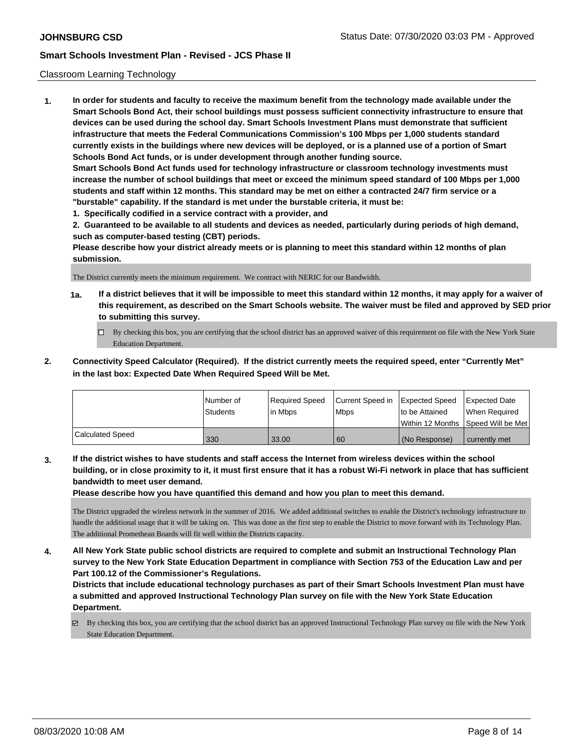### Classroom Learning Technology

**1. In order for students and faculty to receive the maximum benefit from the technology made available under the Smart Schools Bond Act, their school buildings must possess sufficient connectivity infrastructure to ensure that devices can be used during the school day. Smart Schools Investment Plans must demonstrate that sufficient infrastructure that meets the Federal Communications Commission's 100 Mbps per 1,000 students standard currently exists in the buildings where new devices will be deployed, or is a planned use of a portion of Smart Schools Bond Act funds, or is under development through another funding source. Smart Schools Bond Act funds used for technology infrastructure or classroom technology investments must increase the number of school buildings that meet or exceed the minimum speed standard of 100 Mbps per 1,000 students and staff within 12 months. This standard may be met on either a contracted 24/7 firm service or a "burstable" capability. If the standard is met under the burstable criteria, it must be:**

**1. Specifically codified in a service contract with a provider, and**

**2. Guaranteed to be available to all students and devices as needed, particularly during periods of high demand, such as computer-based testing (CBT) periods.**

**Please describe how your district already meets or is planning to meet this standard within 12 months of plan submission.**

The District currently meets the minimum requirement. We contract with NERIC for our Bandwidth.

- **1a. If a district believes that it will be impossible to meet this standard within 12 months, it may apply for a waiver of this requirement, as described on the Smart Schools website. The waiver must be filed and approved by SED prior to submitting this survey.**
	- By checking this box, you are certifying that the school district has an approved waiver of this requirement on file with the New York State Education Department.
- **2. Connectivity Speed Calculator (Required). If the district currently meets the required speed, enter "Currently Met" in the last box: Expected Date When Required Speed Will be Met.**

|                  | l Number of     | Required Speed | Current Speed in Expected Speed |                 | <b>Expected Date</b>                 |
|------------------|-----------------|----------------|---------------------------------|-----------------|--------------------------------------|
|                  | <b>Students</b> | lin Mbps       | <b>Mbps</b>                     | to be Attained  | When Required                        |
|                  |                 |                |                                 |                 | Within 12 Months 1Speed Will be Met1 |
| Calculated Speed | 330             | 33.00          | 60                              | l (No Response) | l currently met                      |

**3. If the district wishes to have students and staff access the Internet from wireless devices within the school building, or in close proximity to it, it must first ensure that it has a robust Wi-Fi network in place that has sufficient bandwidth to meet user demand.**

**Please describe how you have quantified this demand and how you plan to meet this demand.**

The District upgraded the wireless network in the summer of 2016. We added additional switches to enable the District's technology infrastructure to handle the additional usage that it will be taking on. This was done as the first step to enable the District to move forward with its Technology Plan. The additional Promethean Boards will fit well within the Districts capacity.

**4. All New York State public school districts are required to complete and submit an Instructional Technology Plan survey to the New York State Education Department in compliance with Section 753 of the Education Law and per Part 100.12 of the Commissioner's Regulations.**

**Districts that include educational technology purchases as part of their Smart Schools Investment Plan must have a submitted and approved Instructional Technology Plan survey on file with the New York State Education Department.**

By checking this box, you are certifying that the school district has an approved Instructional Technology Plan survey on file with the New York State Education Department.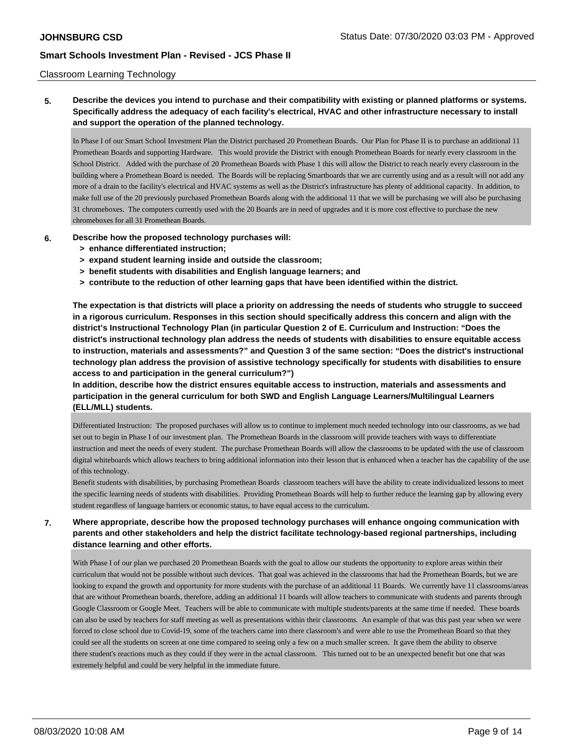### Classroom Learning Technology

**5. Describe the devices you intend to purchase and their compatibility with existing or planned platforms or systems. Specifically address the adequacy of each facility's electrical, HVAC and other infrastructure necessary to install and support the operation of the planned technology.**

In Phase I of our Smart School Investment Plan the District purchased 20 Promethean Boards. Our Plan for Phase II is to purchase an additional 11 Promethean Boards and supporting Hardware. This would provide the District with enough Promethean Boards for nearly every classroom in the School District. Added with the purchase of 20 Promethean Boards with Phase 1 this will allow the District to reach nearly every classroom in the building where a Promethean Board is needed. The Boards will be replacing Smartboards that we are currently using and as a result will not add any more of a drain to the facility's electrical and HVAC systems as well as the District's infrastructure has plenty of additional capacity. In addition, to make full use of the 20 previously purchased Promethean Boards along with the additional 11 that we will be purchasing we will also be purchasing 31 chromeboxes. The computers currently used with the 20 Boards are in need of upgrades and it is more cost effective to purchase the new chromeboxes for all 31 Promethean Boards.

- **6. Describe how the proposed technology purchases will:**
	- **> enhance differentiated instruction;**
	- **> expand student learning inside and outside the classroom;**
	- **> benefit students with disabilities and English language learners; and**
	- **> contribute to the reduction of other learning gaps that have been identified within the district.**

**The expectation is that districts will place a priority on addressing the needs of students who struggle to succeed in a rigorous curriculum. Responses in this section should specifically address this concern and align with the district's Instructional Technology Plan (in particular Question 2 of E. Curriculum and Instruction: "Does the district's instructional technology plan address the needs of students with disabilities to ensure equitable access to instruction, materials and assessments?" and Question 3 of the same section: "Does the district's instructional technology plan address the provision of assistive technology specifically for students with disabilities to ensure access to and participation in the general curriculum?")**

**In addition, describe how the district ensures equitable access to instruction, materials and assessments and participation in the general curriculum for both SWD and English Language Learners/Multilingual Learners (ELL/MLL) students.**

Differentiated Instruction: The proposed purchases will allow us to continue to implement much needed technology into our classrooms, as we had set out to begin in Phase I of our investment plan. The Promethean Boards in the classroom will provide teachers with ways to differentiate instruction and meet the needs of every student. The purchase Promethean Boards will allow the classrooms to be updated with the use of classroom digital whiteboards which allows teachers to bring additional information into their lesson that is enhanced when a teacher has the capability of the use of this technology.

Benefit students with disabilities, by purchasing Promethean Boards classroom teachers will have the ability to create individualized lessons to meet the specific learning needs of students with disabilities. Providing Promethean Boards will help to further reduce the learning gap by allowing every student regardless of language barriers or economic status, to have equal access to the curriculum.

## **7. Where appropriate, describe how the proposed technology purchases will enhance ongoing communication with parents and other stakeholders and help the district facilitate technology-based regional partnerships, including distance learning and other efforts.**

With Phase I of our plan we purchased 20 Promethean Boards with the goal to allow our students the opportunity to explore areas within their curriculum that would not be possible without such devices. That goal was achieved in the classrooms that had the Promethean Boards, but we are looking to expand the growth and opportunity for more students with the purchase of an additional 11 Boards. We currently have 11 classrooms/areas that are without Promethean boards, therefore, adding an additional 11 boards will allow teachers to communicate with students and parents through Google Classroom or Google Meet. Teachers will be able to communicate with multiple students/parents at the same time if needed. These boards can also be used by teachers for staff meeting as well as presentations within their classrooms. An example of that was this past year when we were forced to close school due to Covid-19, some of the teachers came into there classroom's and were able to use the Promethean Board so that they could see all the students on screen at one time compared to seeing only a few on a much smaller screen. It gave them the ability to observe there student's reactions much as they could if they were in the actual classroom. This turned out to be an unexpected benefit but one that was extremely helpful and could be very helpful in the immediate future.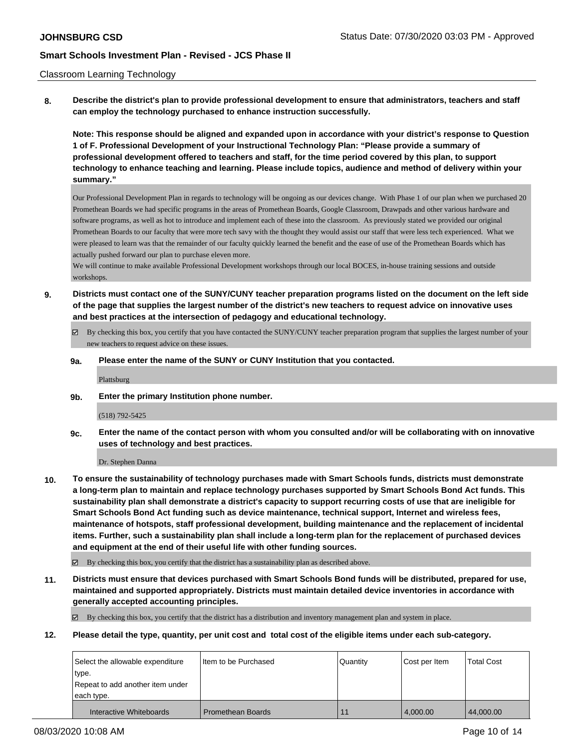### Classroom Learning Technology

**8. Describe the district's plan to provide professional development to ensure that administrators, teachers and staff can employ the technology purchased to enhance instruction successfully.**

**Note: This response should be aligned and expanded upon in accordance with your district's response to Question 1 of F. Professional Development of your Instructional Technology Plan: "Please provide a summary of professional development offered to teachers and staff, for the time period covered by this plan, to support technology to enhance teaching and learning. Please include topics, audience and method of delivery within your summary."**

Our Professional Development Plan in regards to technology will be ongoing as our devices change. With Phase 1 of our plan when we purchased 20 Promethean Boards we had specific programs in the areas of Promethean Boards, Google Classroom, Drawpads and other various hardware and software programs, as well as hot to introduce and implement each of these into the classroom. As previously stated we provided our original Promethean Boards to our faculty that were more tech savy with the thought they would assist our staff that were less tech experienced. What we were pleased to learn was that the remainder of our faculty quickly learned the benefit and the ease of use of the Promethean Boards which has actually pushed forward our plan to purchase eleven more.

We will continue to make available Professional Development workshops through our local BOCES, in-house training sessions and outside workshops

- **9. Districts must contact one of the SUNY/CUNY teacher preparation programs listed on the document on the left side of the page that supplies the largest number of the district's new teachers to request advice on innovative uses and best practices at the intersection of pedagogy and educational technology.**
	- By checking this box, you certify that you have contacted the SUNY/CUNY teacher preparation program that supplies the largest number of your new teachers to request advice on these issues.
	- **9a. Please enter the name of the SUNY or CUNY Institution that you contacted.**

Plattsburg

**9b. Enter the primary Institution phone number.**

(518) 792-5425

**9c. Enter the name of the contact person with whom you consulted and/or will be collaborating with on innovative uses of technology and best practices.**

Dr. Stephen Danna

**10. To ensure the sustainability of technology purchases made with Smart Schools funds, districts must demonstrate a long-term plan to maintain and replace technology purchases supported by Smart Schools Bond Act funds. This sustainability plan shall demonstrate a district's capacity to support recurring costs of use that are ineligible for Smart Schools Bond Act funding such as device maintenance, technical support, Internet and wireless fees, maintenance of hotspots, staff professional development, building maintenance and the replacement of incidental items. Further, such a sustainability plan shall include a long-term plan for the replacement of purchased devices and equipment at the end of their useful life with other funding sources.**

By checking this box, you certify that the district has a sustainability plan as described above.

**11. Districts must ensure that devices purchased with Smart Schools Bond funds will be distributed, prepared for use, maintained and supported appropriately. Districts must maintain detailed device inventories in accordance with generally accepted accounting principles.**

By checking this box, you certify that the district has a distribution and inventory management plan and system in place.

**12. Please detail the type, quantity, per unit cost and total cost of the eligible items under each sub-category.**

| Select the allowable expenditure | I Item to be Purchased   | <b>Quantity</b> | Cost per Item | <b>Total Cost</b> |
|----------------------------------|--------------------------|-----------------|---------------|-------------------|
| type.                            |                          |                 |               |                   |
| Repeat to add another item under |                          |                 |               |                   |
| each type.                       |                          |                 |               |                   |
| Interactive Whiteboards          | <b>Promethean Boards</b> | 11              | 4,000.00      | 44,000.00         |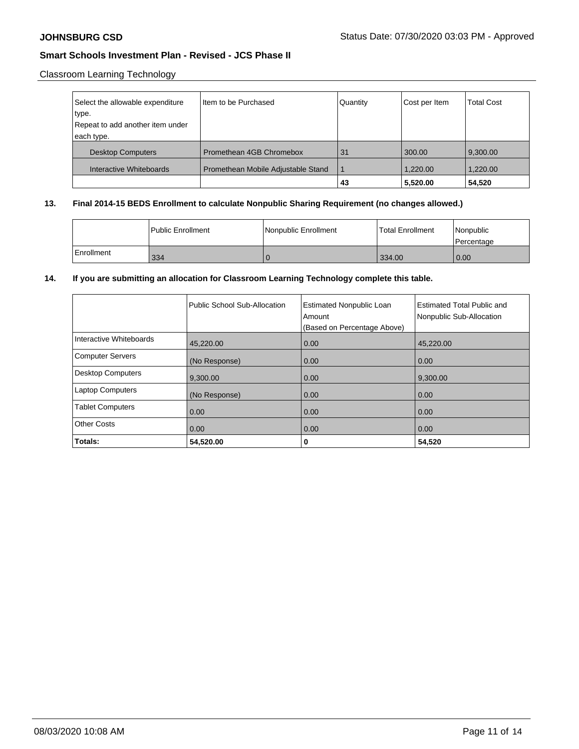# Classroom Learning Technology

| Select the allowable expenditure | Item to be Purchased               | Quantity | Cost per Item | <b>Total Cost</b> |
|----------------------------------|------------------------------------|----------|---------------|-------------------|
| type.                            |                                    |          |               |                   |
| Repeat to add another item under |                                    |          |               |                   |
| each type.                       |                                    |          |               |                   |
| <b>Desktop Computers</b>         | Promethean 4GB Chromebox           | 31       | 300.00        | 9,300.00          |
| Interactive Whiteboards          | Promethean Mobile Adjustable Stand |          | 1.220.00      | 1,220.00          |
|                                  |                                    | 43       | 5,520.00      | 54,520            |

# **13. Final 2014-15 BEDS Enrollment to calculate Nonpublic Sharing Requirement (no changes allowed.)**

|            | Public Enrollment | Nonpublic Enrollment | <b>Total Enrollment</b> | Nonpublic<br>l Percentage |
|------------|-------------------|----------------------|-------------------------|---------------------------|
| Enrollment | 334               |                      | 334.00                  | 0.00                      |

## **14. If you are submitting an allocation for Classroom Learning Technology complete this table.**

|                         | Public School Sub-Allocation | <b>Estimated Nonpublic Loan</b><br>Amount<br>(Based on Percentage Above) | Estimated Total Public and<br>Nonpublic Sub-Allocation |
|-------------------------|------------------------------|--------------------------------------------------------------------------|--------------------------------------------------------|
| Interactive Whiteboards | 45,220.00                    | 0.00                                                                     | 45,220.00                                              |
| Computer Servers        | (No Response)                | 0.00                                                                     | 0.00                                                   |
| Desktop Computers       | 9,300.00                     | 0.00                                                                     | 9,300.00                                               |
| <b>Laptop Computers</b> | (No Response)                | 0.00                                                                     | 0.00                                                   |
| <b>Tablet Computers</b> | 0.00                         | 0.00                                                                     | 0.00                                                   |
| Other Costs             | 0.00                         | 0.00                                                                     | 0.00                                                   |
| Totals:                 | 54,520.00                    | 0                                                                        | 54,520                                                 |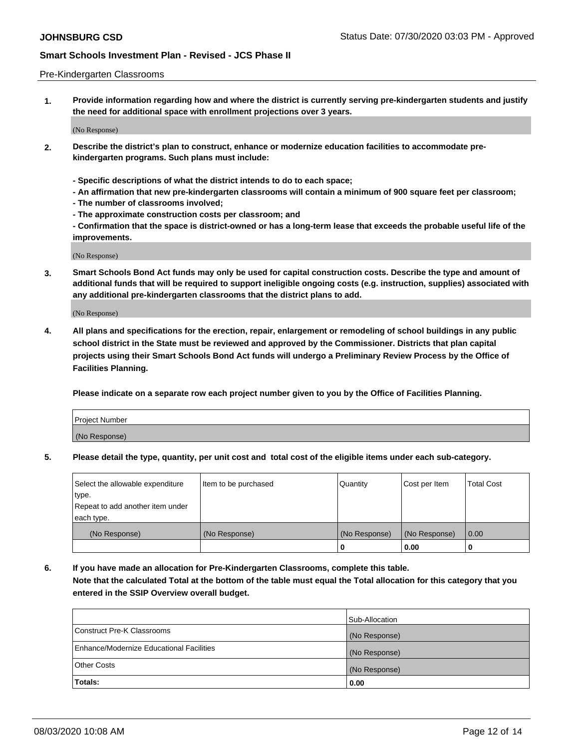#### Pre-Kindergarten Classrooms

**1. Provide information regarding how and where the district is currently serving pre-kindergarten students and justify the need for additional space with enrollment projections over 3 years.**

(No Response)

- **2. Describe the district's plan to construct, enhance or modernize education facilities to accommodate prekindergarten programs. Such plans must include:**
	- **Specific descriptions of what the district intends to do to each space;**
	- **An affirmation that new pre-kindergarten classrooms will contain a minimum of 900 square feet per classroom;**
	- **The number of classrooms involved;**
	- **The approximate construction costs per classroom; and**
	- **Confirmation that the space is district-owned or has a long-term lease that exceeds the probable useful life of the improvements.**

(No Response)

**3. Smart Schools Bond Act funds may only be used for capital construction costs. Describe the type and amount of additional funds that will be required to support ineligible ongoing costs (e.g. instruction, supplies) associated with any additional pre-kindergarten classrooms that the district plans to add.**

(No Response)

**4. All plans and specifications for the erection, repair, enlargement or remodeling of school buildings in any public school district in the State must be reviewed and approved by the Commissioner. Districts that plan capital projects using their Smart Schools Bond Act funds will undergo a Preliminary Review Process by the Office of Facilities Planning.**

**Please indicate on a separate row each project number given to you by the Office of Facilities Planning.**

| Project Number |  |
|----------------|--|
| (No Response)  |  |
|                |  |

**5. Please detail the type, quantity, per unit cost and total cost of the eligible items under each sub-category.**

| Select the allowable expenditure | Item to be purchased | Quantity      | Cost per Item | <b>Total Cost</b> |
|----------------------------------|----------------------|---------------|---------------|-------------------|
| type.                            |                      |               |               |                   |
| Repeat to add another item under |                      |               |               |                   |
| each type.                       |                      |               |               |                   |
| (No Response)                    | (No Response)        | (No Response) | (No Response) | 0.00              |
|                                  |                      | U             | 0.00          |                   |

**6. If you have made an allocation for Pre-Kindergarten Classrooms, complete this table. Note that the calculated Total at the bottom of the table must equal the Total allocation for this category that you entered in the SSIP Overview overall budget.**

|                                          | Sub-Allocation |
|------------------------------------------|----------------|
| Construct Pre-K Classrooms               | (No Response)  |
| Enhance/Modernize Educational Facilities | (No Response)  |
| <b>Other Costs</b>                       | (No Response)  |
| Totals:                                  | 0.00           |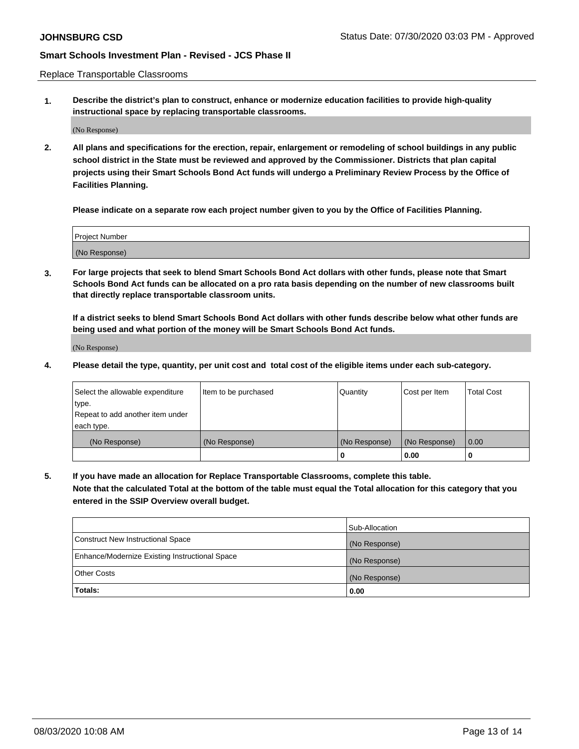Replace Transportable Classrooms

**1. Describe the district's plan to construct, enhance or modernize education facilities to provide high-quality instructional space by replacing transportable classrooms.**

(No Response)

**2. All plans and specifications for the erection, repair, enlargement or remodeling of school buildings in any public school district in the State must be reviewed and approved by the Commissioner. Districts that plan capital projects using their Smart Schools Bond Act funds will undergo a Preliminary Review Process by the Office of Facilities Planning.**

**Please indicate on a separate row each project number given to you by the Office of Facilities Planning.**

| Project Number |  |
|----------------|--|
|                |  |
|                |  |
|                |  |
| (No Response)  |  |
|                |  |
|                |  |

**3. For large projects that seek to blend Smart Schools Bond Act dollars with other funds, please note that Smart Schools Bond Act funds can be allocated on a pro rata basis depending on the number of new classrooms built that directly replace transportable classroom units.**

**If a district seeks to blend Smart Schools Bond Act dollars with other funds describe below what other funds are being used and what portion of the money will be Smart Schools Bond Act funds.**

(No Response)

**4. Please detail the type, quantity, per unit cost and total cost of the eligible items under each sub-category.**

| Select the allowable expenditure | Item to be purchased | Quantity      | Cost per Item | Total Cost |
|----------------------------------|----------------------|---------------|---------------|------------|
| ∣type.                           |                      |               |               |            |
| Repeat to add another item under |                      |               |               |            |
| each type.                       |                      |               |               |            |
| (No Response)                    | (No Response)        | (No Response) | (No Response) | 0.00       |
|                                  |                      | u             | 0.00          |            |

**5. If you have made an allocation for Replace Transportable Classrooms, complete this table. Note that the calculated Total at the bottom of the table must equal the Total allocation for this category that you entered in the SSIP Overview overall budget.**

|                                                | Sub-Allocation |
|------------------------------------------------|----------------|
| Construct New Instructional Space              | (No Response)  |
| Enhance/Modernize Existing Instructional Space | (No Response)  |
| Other Costs                                    | (No Response)  |
| Totals:                                        | 0.00           |